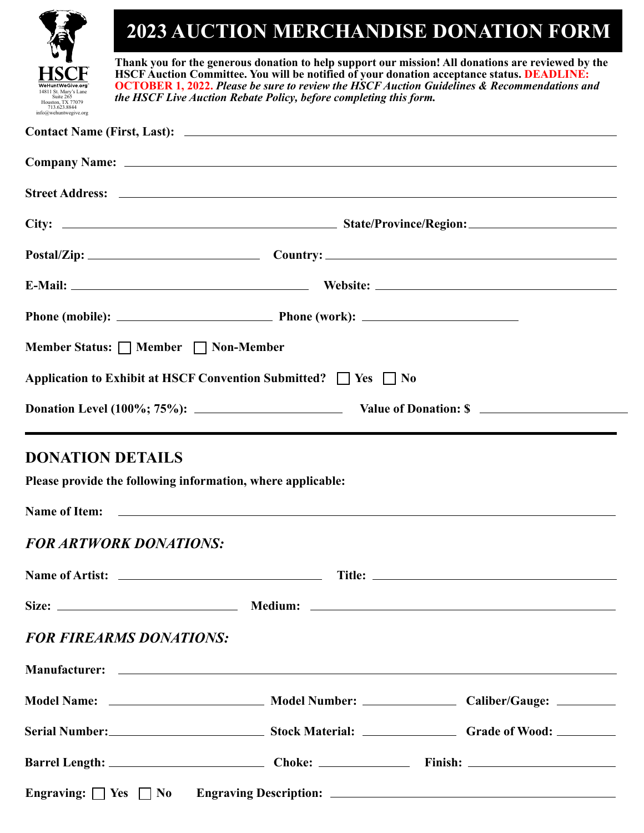|                                                                                                  |                                                                                                                                                                                                                                                                                                                                                                                    |  | <b>2023 AUCTION MERCHANDISE DONATION FORM</b>                  |  |
|--------------------------------------------------------------------------------------------------|------------------------------------------------------------------------------------------------------------------------------------------------------------------------------------------------------------------------------------------------------------------------------------------------------------------------------------------------------------------------------------|--|----------------------------------------------------------------|--|
| 14811 St. Marv's Lane<br>Suite 265<br>Houston, TX 77079<br>713.623.8844<br>info@wehuntwegive.org | Thank you for the generous donation to help support our mission! All donations are reviewed by the<br><b>HSCF Auction Committee. You will be notified of your donation acceptance status. DEADLINE:</b><br><b>OCTOBER 1, 2022.</b> Please be sure to review the HSCF Auction Guidelines & Recommendations and<br>the HSCF Live Auction Rebate Policy, before completing this form. |  |                                                                |  |
|                                                                                                  |                                                                                                                                                                                                                                                                                                                                                                                    |  |                                                                |  |
|                                                                                                  |                                                                                                                                                                                                                                                                                                                                                                                    |  |                                                                |  |
|                                                                                                  |                                                                                                                                                                                                                                                                                                                                                                                    |  |                                                                |  |
|                                                                                                  |                                                                                                                                                                                                                                                                                                                                                                                    |  |                                                                |  |
|                                                                                                  |                                                                                                                                                                                                                                                                                                                                                                                    |  | Postal/Zip: Country: Country:                                  |  |
|                                                                                                  |                                                                                                                                                                                                                                                                                                                                                                                    |  |                                                                |  |
|                                                                                                  |                                                                                                                                                                                                                                                                                                                                                                                    |  |                                                                |  |
| Member Status: □ Member □ Non-Member                                                             |                                                                                                                                                                                                                                                                                                                                                                                    |  |                                                                |  |
| Application to Exhibit at HSCF Convention Submitted? $\Box$ Yes $\Box$ No                        |                                                                                                                                                                                                                                                                                                                                                                                    |  |                                                                |  |
|                                                                                                  |                                                                                                                                                                                                                                                                                                                                                                                    |  | Donation Level (100%; 75%): Value of Donation: \$              |  |
| <b>DONATION DETAILS</b>                                                                          |                                                                                                                                                                                                                                                                                                                                                                                    |  |                                                                |  |
| Please provide the following information, where applicable:                                      |                                                                                                                                                                                                                                                                                                                                                                                    |  |                                                                |  |
|                                                                                                  |                                                                                                                                                                                                                                                                                                                                                                                    |  |                                                                |  |
| <b>FOR ARTWORK DONATIONS:</b>                                                                    |                                                                                                                                                                                                                                                                                                                                                                                    |  |                                                                |  |
|                                                                                                  |                                                                                                                                                                                                                                                                                                                                                                                    |  |                                                                |  |
|                                                                                                  |                                                                                                                                                                                                                                                                                                                                                                                    |  |                                                                |  |
| <b>FOR FIREARMS DONATIONS:</b>                                                                   |                                                                                                                                                                                                                                                                                                                                                                                    |  |                                                                |  |
|                                                                                                  |                                                                                                                                                                                                                                                                                                                                                                                    |  |                                                                |  |
|                                                                                                  |                                                                                                                                                                                                                                                                                                                                                                                    |  |                                                                |  |
|                                                                                                  |                                                                                                                                                                                                                                                                                                                                                                                    |  | Serial Number:<br>Stock Material: Communication Grade of Wood: |  |
|                                                                                                  |                                                                                                                                                                                                                                                                                                                                                                                    |  | Barrel Length: Choke: Choke: Finish: Finish:                   |  |
|                                                                                                  |                                                                                                                                                                                                                                                                                                                                                                                    |  |                                                                |  |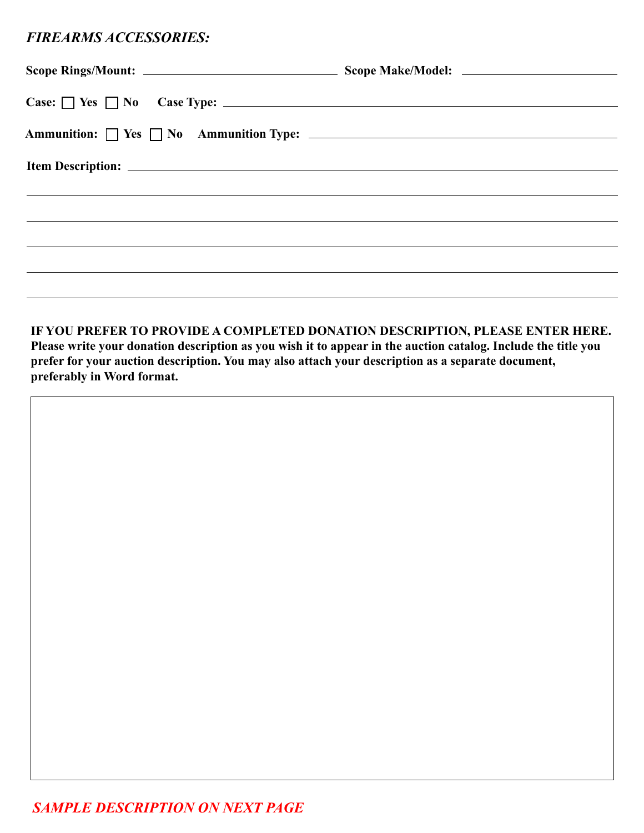## *FIREARMS ACCESSORIES:*

| $Case: \Box$ Yes $\Box$ No Case Type: $\Box$                                        |  |
|-------------------------------------------------------------------------------------|--|
|                                                                                     |  |
|                                                                                     |  |
| <u>,这些人都是一个人的人,我们就是一个人的人,我们就是一个人的人,我们就是一个人的人,我们就是一个人的人,我们就是一个人的人,我们就是一个人的人,我们就是</u> |  |
|                                                                                     |  |
|                                                                                     |  |
|                                                                                     |  |
|                                                                                     |  |

**IF YOU PREFER TO PROVIDE A COMPLETED DONATION DESCRIPTION, PLEASE ENTER HERE. Please write your donation description as you wish it to appear in the auction catalog. Include the title you prefer for your auction description. You may also attach your description as a separate document, preferably in Word format.**